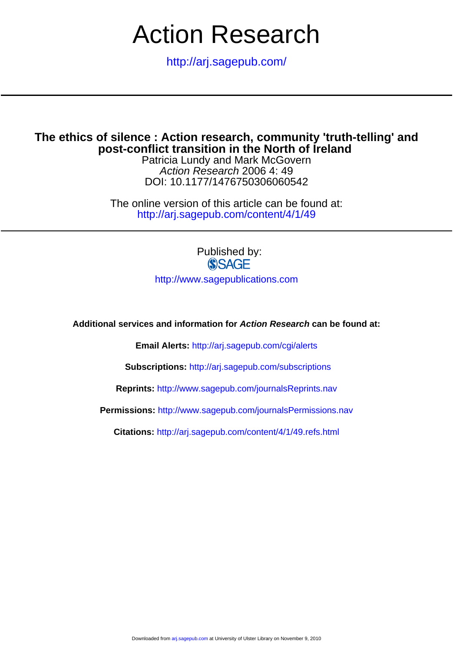# Action Research

<http://arj.sagepub.com/>

# **post-conflict transition in the North of Ireland The ethics of silence : Action research, community 'truth-telling' and**

DOI: 10.1177/1476750306060542 Action Research 2006 4: 49 Patricia Lundy and Mark McGovern

<http://arj.sagepub.com/content/4/1/49> The online version of this article can be found at:

> Published by: **SSAGE** <http://www.sagepublications.com>

**Additional services and information for Action Research can be found at:**

**Email Alerts:** <http://arj.sagepub.com/cgi/alerts>

**Subscriptions:** <http://arj.sagepub.com/subscriptions>

**Reprints:** <http://www.sagepub.com/journalsReprints.nav>

**Permissions:** <http://www.sagepub.com/journalsPermissions.nav>

**Citations:** <http://arj.sagepub.com/content/4/1/49.refs.html>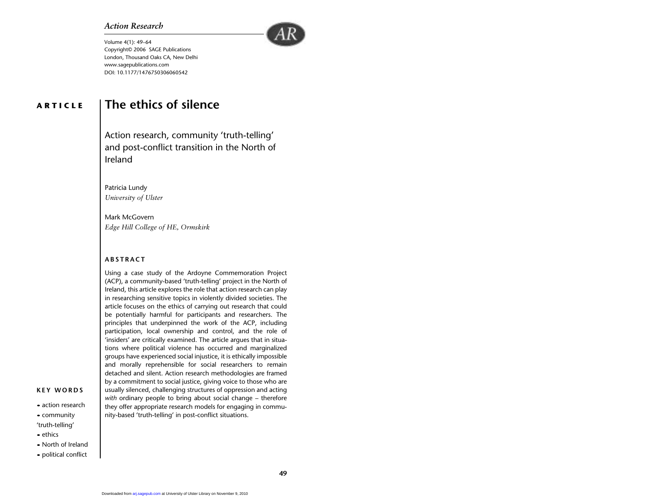# *Action Research*



Volume 4(1): 49–64 Copyright© 2006 SAGE Publications London, Thousand Oaks CA, New Delhi www.sagepublications.com DOI: 10.1177/1476750306060542

# **ARTICLE**

# **The ethics of silence**

Action research, community 'truth-telling' and post-conflict transition in the North of Ireland

Patricia Lundy *University of Ulster*

Mark McGovern *Edge Hill College of HE, Ormskirk*

#### **ABSTRACT**

Using a case study of the Ardoyne Commemoration Project (ACP), a community-based 'truth-telling' project in the North of Ireland, this article explores the role that action research can play in researching sensitive topics in violently divided societies. The article focuses on the ethics of carrying out research that could be potentially harmful for participants and researchers. The principles that underpinned the work of the ACP, including participation, local ownership and control, and the role of 'insiders' are critically examined. The article argues that in situations where political violence has occurred and marginalized groups have experienced social injustice, it is ethically impossible and morally reprehensible for social researchers to remain detached and silent. Action research methodologies are framed by a commitment to social justice, giving voice to those who are usually silenced, challenging structures of oppression and acting *with* ordinary people to bring about social change – therefore they offer appropriate research models for engaging in community-based 'truth-telling' in post-conflict situations.

#### **KEY WORDS**

- action research
- community
- 'truth-telling'
- ethics
- North of Ireland
- political conflict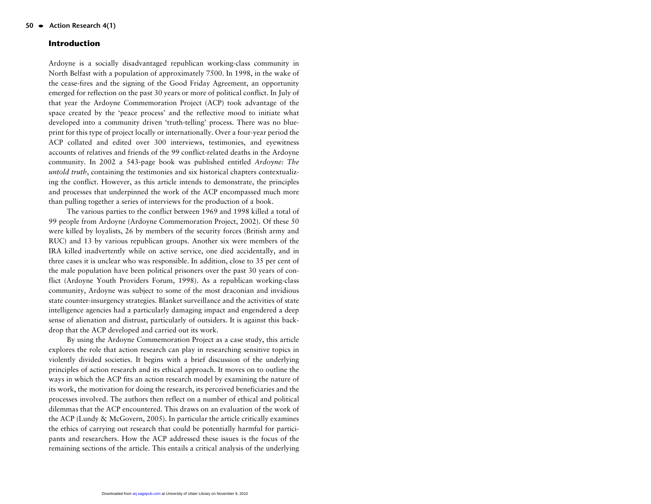# **Introduction**

Ardoyne is a socially disadvantaged republican working-class community in North Belfast with a population of approximately 7500. In 1998, in the wake of the cease-fires and the signing of the Good Friday Agreement, an opportunity emerged for reflection on the past 30 years or more of political conflict. In July of that year the Ardoyne Commemoration Project (ACP) took advantage of the space created by the 'peace process' and the reflective mood to initiate what developed into a community driven 'truth-telling' process. There was no blueprint for this type of project locally or internationally. Over a four-year period the ACP collated and edited over 300 interviews, testimonies, and eyewitness accounts of relatives and friends of the 99 conflict-related deaths in the Ardoyne community. In 2002 a 543-page book was published entitled *Ardoyne: The untold truth*, containing the testimonies and six historical chapters contextualizing the conflict. However, as this article intends to demonstrate, the principles and processes that underpinned the work of the ACP encompassed much more than pulling together a series of interviews for the production of a book.

The various parties to the conflict between 1969 and 1998 killed a total of 99 people from Ardoyne (Ardoyne Commemoration Project, 2002). Of these 50 were killed by loyalists, 26 by members of the security forces (British army and RUC) and 13 by various republican groups. Another six were members of the IRA killed inadvertently while on active service, one died accidentally, and in three cases it is unclear who was responsible. In addition, close to 35 per cent of the male population have been political prisoners over the past 30 years of conflict (Ardoyne Youth Providers Forum, 1998). As a republican working-class community, Ardoyne was subject to some of the most draconian and invidious state counter-insurgency strategies. Blanket surveillance and the activities of state intelligence agencies had a particularly damaging impact and engendered a deep sense of alienation and distrust, particularly of outsiders. It is against this backdrop that the ACP developed and carried out its work.

By using the Ardoyne Commemoration Project as a case study, this article explores the role that action research can play in researching sensitive topics in violently divided societies. It begins with a brief discussion of the underlying principles of action research and its ethical approach. It moves on to outline the ways in which the ACP fits an action research model by examining the nature of its work, the motivation for doing the research, its perceived beneficiaries and the processes involved. The authors then reflect on a number of ethical and political dilemmas that the ACP encountered. This draws on an evaluation of the work of the ACP (Lundy  $\&$  McGovern, 2005). In particular the article critically examines the ethics of carrying out research that could be potentially harmful for participants and researchers. How the ACP addressed these issues is the focus of the remaining sections of the article. This entails a critical analysis of the underlying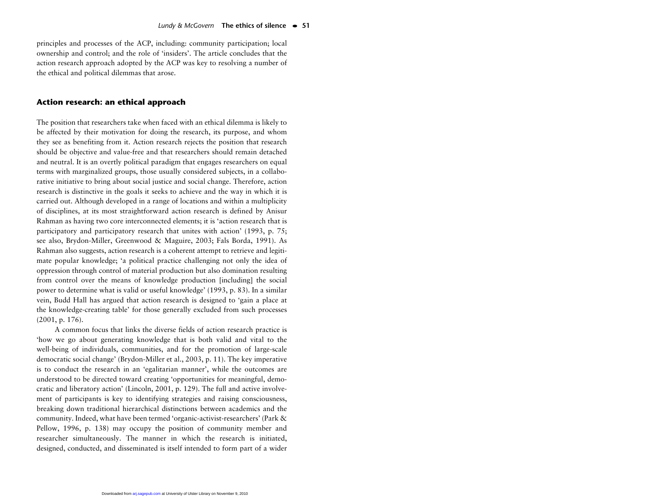principles and processes of the ACP, including: community participation; local ownership and control; and the role of 'insiders'. The article concludes that the action research approach adopted by the ACP was key to resolving a number of the ethical and political dilemmas that arose.

#### **Action research: an ethical approach**

The position that researchers take when faced with an ethical dilemma is likely to be affected by their motivation for doing the research, its purpose, and whom they see as benefiting from it. Action research rejects the position that research should be objective and value-free and that researchers should remain detached and neutral. It is an overtly political paradigm that engages researchers on equal terms with marginalized groups, those usually considered subjects, in a collaborative initiative to bring about social justice and social change. Therefore, action research is distinctive in the goals it seeks to achieve and the way in which it is carried out. Although developed in a range of locations and within a multiplicity of disciplines, at its most straightforward action research is defined by Anisur Rahman as having two core interconnected elements; it is 'action research that is participatory and participatory research that unites with action' (1993, p. 75; see also, Brydon-Miller, Greenwood & Maguire, 2003; Fals Borda, 1991). As Rahman also suggests, action research is a coherent attempt to retrieve and legitimate popular knowledge; 'a political practice challenging not only the idea of oppression through control of material production but also domination resulting from control over the means of knowledge production [including] the social power to determine what is valid or useful knowledge' (1993, p. 83). In a similar vein, Budd Hall has argued that action research is designed to 'gain a place at the knowledge-creating table' for those generally excluded from such processes (2001, p. 176).

A common focus that links the diverse fields of action research practice is 'how we go about generating knowledge that is both valid and vital to the well-being of individuals, communities, and for the promotion of large-scale democratic social change' (Brydon-Miller et al., 2003, p. 11). The key imperative is to conduct the research in an 'egalitarian manner', while the outcomes are understood to be directed toward creating 'opportunities for meaningful, democratic and liberatory action' (Lincoln, 2001, p. 129). The full and active involvement of participants is key to identifying strategies and raising consciousness, breaking down traditional hierarchical distinctions between academics and the community. Indeed, what have been termed 'organic-activist-researchers' (Park & Pellow, 1996, p. 138) may occupy the position of community member and researcher simultaneously. The manner in which the research is initiated, designed, conducted, and disseminated is itself intended to form part of a wider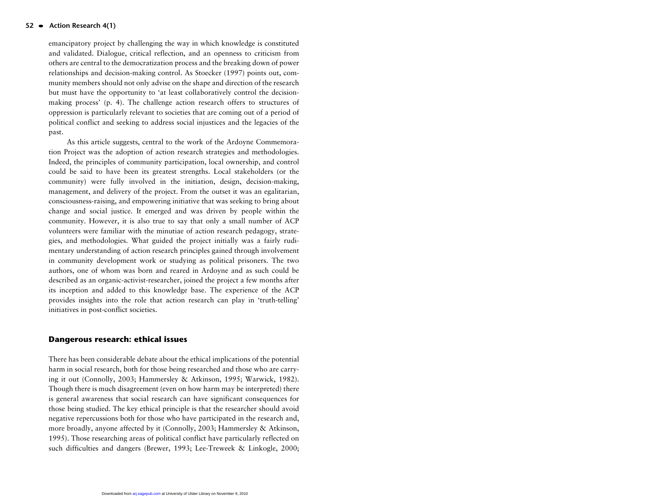emancipatory project by challenging the way in which knowledge is constituted and validated. Dialogue, critical reflection, and an openness to criticism from others are central to the democratization process and the breaking down of power relationships and decision-making control. As Stoecker (1997) points out, community members should not only advise on the shape and direction of the research but must have the opportunity to 'at least collaboratively control the decisionmaking process' (p. 4). The challenge action research offers to structures of oppression is particularly relevant to societies that are coming out of a period of political conflict and seeking to address social injustices and the legacies of the past.

As this article suggests, central to the work of the Ardoyne Commemoration Project was the adoption of action research strategies and methodologies. Indeed, the principles of community participation, local ownership, and control could be said to have been its greatest strengths. Local stakeholders (or the community) were fully involved in the initiation, design, decision-making, management, and delivery of the project. From the outset it was an egalitarian, consciousness-raising, and empowering initiative that was seeking to bring about change and social justice. It emerged and was driven by people within the community. However, it is also true to say that only a small number of ACP volunteers were familiar with the minutiae of action research pedagogy, strategies, and methodologies. What guided the project initially was a fairly rudimentary understanding of action research principles gained through involvement in community development work or studying as political prisoners. The two authors, one of whom was born and reared in Ardoyne and as such could be described as an organic-activist-researcher, joined the project a few months after its inception and added to this knowledge base. The experience of the ACP provides insights into the role that action research can play in 'truth-telling' initiatives in post-conflict societies.

#### **Dangerous research: ethical issues**

There has been considerable debate about the ethical implications of the potential harm in social research, both for those being researched and those who are carrying it out (Connolly, 2003; Hammersley & Atkinson, 1995; Warwick, 1982). Though there is much disagreement (even on how harm may be interpreted) there is general awareness that social research can have significant consequences for those being studied. The key ethical principle is that the researcher should avoid negative repercussions both for those who have participated in the research and, more broadly, anyone affected by it (Connolly, 2003; Hammersley & Atkinson, 1995). Those researching areas of political conflict have particularly reflected on such difficulties and dangers (Brewer, 1993; Lee-Treweek & Linkogle, 2000;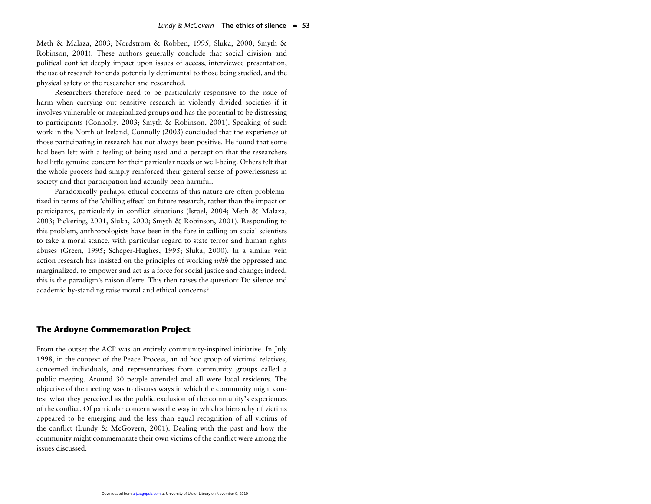Meth & Malaza, 2003; Nordstrom & Robben, 1995; Sluka, 2000; Smyth & Robinson, 2001). These authors generally conclude that social division and political conflict deeply impact upon issues of access, interviewee presentation, the use of research for ends potentially detrimental to those being studied, and the physical safety of the researcher and researched.

Researchers therefore need to be particularly responsive to the issue of harm when carrying out sensitive research in violently divided societies if it involves vulnerable or marginalized groups and has the potential to be distressing to participants (Connolly, 2003; Smyth & Robinson, 2001). Speaking of such work in the North of Ireland, Connolly (2003) concluded that the experience of those participating in research has not always been positive. He found that some had been left with a feeling of being used and a perception that the researchers had little genuine concern for their particular needs or well-being. Others felt that the whole process had simply reinforced their general sense of powerlessness in society and that participation had actually been harmful.

Paradoxically perhaps, ethical concerns of this nature are often problematized in terms of the 'chilling effect' on future research, rather than the impact on participants, particularly in conflict situations (Israel, 2004; Meth & Malaza, 2003; Pickering, 2001, Sluka, 2000; Smyth & Robinson, 2001). Responding to this problem, anthropologists have been in the fore in calling on social scientists to take a moral stance, with particular regard to state terror and human rights abuses (Green, 1995; Scheper-Hughes, 1995; Sluka, 2000). In a similar vein action research has insisted on the principles of working *with* the oppressed and marginalized, to empower and act as a force for social justice and change; indeed, this is the paradigm's raison d'etre. This then raises the question: Do silence and academic by-standing raise moral and ethical concerns?

#### **The Ardoyne Commemoration Project**

From the outset the ACP was an entirely community-inspired initiative. In July 1998, in the context of the Peace Process, an ad hoc group of victims' relatives, concerned individuals, and representatives from community groups called a public meeting. Around 30 people attended and all were local residents. The objective of the meeting was to discuss ways in which the community might contest what they perceived as the public exclusion of the community's experiences of the conflict. Of particular concern was the way in which a hierarchy of victims appeared to be emerging and the less than equal recognition of all victims of the conflict (Lundy & McGovern, 2001). Dealing with the past and how the community might commemorate their own victims of the conflict were among the issues discussed.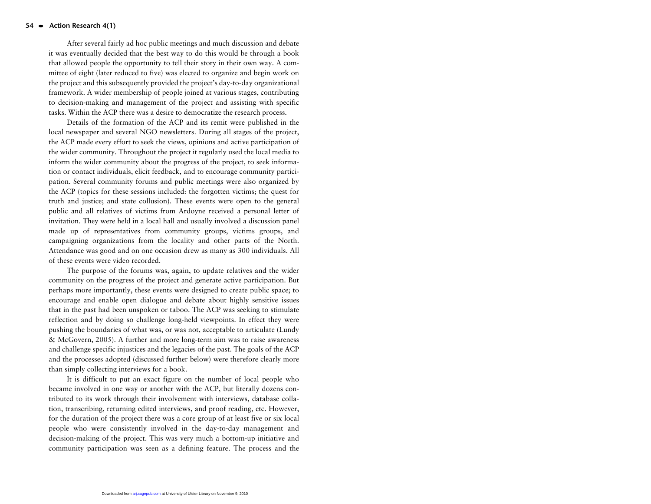After several fairly ad hoc public meetings and much discussion and debate it was eventually decided that the best way to do this would be through a book that allowed people the opportunity to tell their story in their own way. A committee of eight (later reduced to five) was elected to organize and begin work on the project and this subsequently provided the project's day-to-day organizational framework. A wider membership of people joined at various stages, contributing to decision-making and management of the project and assisting with specific tasks. Within the ACP there was a desire to democratize the research process.

Details of the formation of the ACP and its remit were published in the local newspaper and several NGO newsletters. During all stages of the project, the ACP made every effort to seek the views, opinions and active participation of the wider community. Throughout the project it regularly used the local media to inform the wider community about the progress of the project, to seek information or contact individuals, elicit feedback, and to encourage community participation. Several community forums and public meetings were also organized by the ACP (topics for these sessions included: the forgotten victims; the quest for truth and justice; and state collusion). These events were open to the general public and all relatives of victims from Ardoyne received a personal letter of invitation. They were held in a local hall and usually involved a discussion panel made up of representatives from community groups, victims groups, and campaigning organizations from the locality and other parts of the North. Attendance was good and on one occasion drew as many as 300 individuals. All of these events were video recorded.

The purpose of the forums was, again, to update relatives and the wider community on the progress of the project and generate active participation. But perhaps more importantly, these events were designed to create public space; to encourage and enable open dialogue and debate about highly sensitive issues that in the past had been unspoken or taboo. The ACP was seeking to stimulate reflection and by doing so challenge long-held viewpoints. In effect they were pushing the boundaries of what was, or was not, acceptable to articulate (Lundy & McGovern, 2005). A further and more long-term aim was to raise awareness and challenge specific injustices and the legacies of the past. The goals of the ACP and the processes adopted (discussed further below) were therefore clearly more than simply collecting interviews for a book.

It is difficult to put an exact figure on the number of local people who became involved in one way or another with the ACP, but literally dozens contributed to its work through their involvement with interviews, database collation, transcribing, returning edited interviews, and proof reading, etc. However, for the duration of the project there was a core group of at least five or six local people who were consistently involved in the day-to-day management and decision-making of the project. This was very much a bottom-up initiative and community participation was seen as a defining feature. The process and the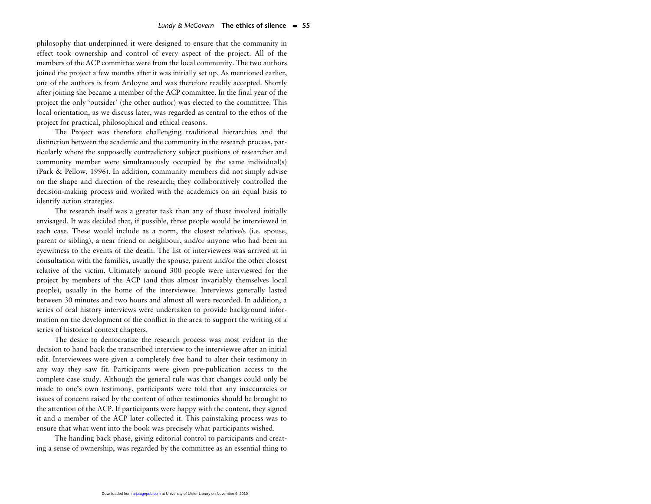philosophy that underpinned it were designed to ensure that the community in effect took ownership and control of every aspect of the project. All of the members of the ACP committee were from the local community. The two authors joined the project a few months after it was initially set up. As mentioned earlier, one of the authors is from Ardoyne and was therefore readily accepted. Shortly after joining she became a member of the ACP committee. In the final year of the project the only 'outsider' (the other author) was elected to the committee. This local orientation, as we discuss later, was regarded as central to the ethos of the project for practical, philosophical and ethical reasons.

The Project was therefore challenging traditional hierarchies and the distinction between the academic and the community in the research process, particularly where the supposedly contradictory subject positions of researcher and community member were simultaneously occupied by the same individual(s) (Park & Pellow, 1996). In addition, community members did not simply advise on the shape and direction of the research; they collaboratively controlled the decision-making process and worked with the academics on an equal basis to identify action strategies.

The research itself was a greater task than any of those involved initially envisaged. It was decided that, if possible, three people would be interviewed in each case. These would include as a norm, the closest relative/s (i.e. spouse, parent or sibling), a near friend or neighbour, and/or anyone who had been an eyewitness to the events of the death. The list of interviewees was arrived at in consultation with the families, usually the spouse, parent and/or the other closest relative of the victim. Ultimately around 300 people were interviewed for the project by members of the ACP (and thus almost invariably themselves local people), usually in the home of the interviewee. Interviews generally lasted between 30 minutes and two hours and almost all were recorded. In addition, a series of oral history interviews were undertaken to provide background information on the development of the conflict in the area to support the writing of a series of historical context chapters.

The desire to democratize the research process was most evident in the decision to hand back the transcribed interview to the interviewee after an initial edit. Interviewees were given a completely free hand to alter their testimony in any way they saw fit. Participants were given pre-publication access to the complete case study. Although the general rule was that changes could only be made to one's own testimony, participants were told that any inaccuracies or issues of concern raised by the content of other testimonies should be brought to the attention of the ACP. If participants were happy with the content, they signed it and a member of the ACP later collected it. This painstaking process was to ensure that what went into the book was precisely what participants wished.

The handing back phase, giving editorial control to participants and creating a sense of ownership, was regarded by the committee as an essential thing to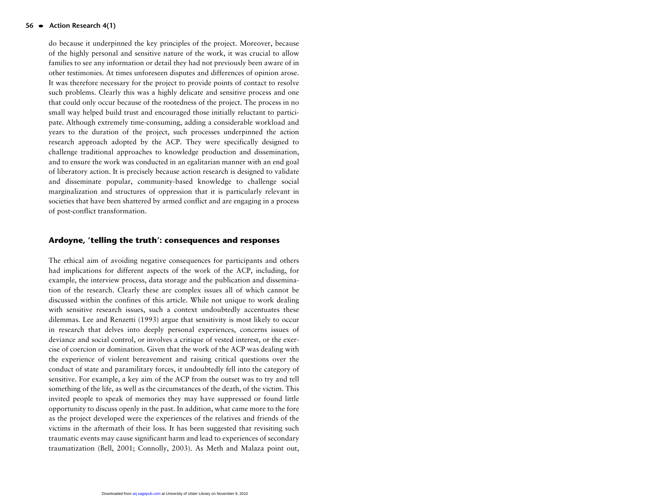do because it underpinned the key principles of the project. Moreover, because of the highly personal and sensitive nature of the work, it was crucial to allow families to see any information or detail they had not previously been aware of in other testimonies. At times unforeseen disputes and differences of opinion arose. It was therefore necessary for the project to provide points of contact to resolve such problems. Clearly this was a highly delicate and sensitive process and one that could only occur because of the rootedness of the project. The process in no small way helped build trust and encouraged those initially reluctant to participate. Although extremely time-consuming, adding a considerable workload and years to the duration of the project, such processes underpinned the action research approach adopted by the ACP. They were specifically designed to challenge traditional approaches to knowledge production and dissemination, and to ensure the work was conducted in an egalitarian manner with an end goal of liberatory action. It is precisely because action research is designed to validate and disseminate popular, community-based knowledge to challenge social marginalization and structures of oppression that it is particularly relevant in societies that have been shattered by armed conflict and are engaging in a process of post-conflict transformation.

# **Ardoyne, 'telling the truth': consequences and responses**

The ethical aim of avoiding negative consequences for participants and others had implications for different aspects of the work of the ACP, including, for example, the interview process, data storage and the publication and dissemination of the research. Clearly these are complex issues all of which cannot be discussed within the confines of this article. While not unique to work dealing with sensitive research issues, such a context undoubtedly accentuates these dilemmas. Lee and Renzetti (1993) argue that sensitivity is most likely to occur in research that delves into deeply personal experiences, concerns issues of deviance and social control, or involves a critique of vested interest, or the exercise of coercion or domination. Given that the work of the ACP was dealing with the experience of violent bereavement and raising critical questions over the conduct of state and paramilitary forces, it undoubtedly fell into the category of sensitive. For example, a key aim of the ACP from the outset was to try and tell something of the life, as well as the circumstances of the death, of the victim. This invited people to speak of memories they may have suppressed or found little opportunity to discuss openly in the past. In addition, what came more to the fore as the project developed were the experiences of the relatives and friends of the victims in the aftermath of their loss. It has been suggested that revisiting such traumatic events may cause significant harm and lead to experiences of secondary traumatization (Bell, 2001; Connolly, 2003). As Meth and Malaza point out,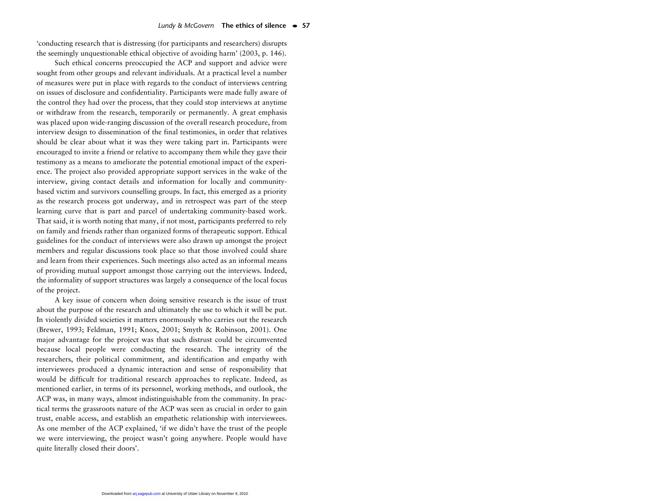'conducting research that is distressing (for participants and researchers) disrupts the seemingly unquestionable ethical objective of avoiding harm' (2003, p. 146).

Such ethical concerns preoccupied the ACP and support and advice were sought from other groups and relevant individuals. At a practical level a number of measures were put in place with regards to the conduct of interviews centring on issues of disclosure and confidentiality. Participants were made fully aware of the control they had over the process, that they could stop interviews at anytime or withdraw from the research, temporarily or permanently. A great emphasis was placed upon wide-ranging discussion of the overall research procedure, from interview design to dissemination of the final testimonies, in order that relatives should be clear about what it was they were taking part in. Participants were encouraged to invite a friend or relative to accompany them while they gave their testimony as a means to ameliorate the potential emotional impact of the experience. The project also provided appropriate support services in the wake of the interview, giving contact details and information for locally and communitybased victim and survivors counselling groups. In fact, this emerged as a priority as the research process got underway, and in retrospect was part of the steep learning curve that is part and parcel of undertaking community-based work. That said, it is worth noting that many, if not most, participants preferred to rely on family and friends rather than organized forms of therapeutic support. Ethical guidelines for the conduct of interviews were also drawn up amongst the project members and regular discussions took place so that those involved could share and learn from their experiences. Such meetings also acted as an informal means of providing mutual support amongst those carrying out the interviews. Indeed, the informality of support structures was largely a consequence of the local focus of the project.

A key issue of concern when doing sensitive research is the issue of trust about the purpose of the research and ultimately the use to which it will be put. In violently divided societies it matters enormously who carries out the research (Brewer, 1993; Feldman, 1991; Knox, 2001; Smyth & Robinson, 2001). One major advantage for the project was that such distrust could be circumvented because local people were conducting the research. The integrity of the researchers, their political commitment, and identification and empathy with interviewees produced a dynamic interaction and sense of responsibility that would be difficult for traditional research approaches to replicate. Indeed, as mentioned earlier, in terms of its personnel, working methods, and outlook, the ACP was, in many ways, almost indistinguishable from the community. In practical terms the grassroots nature of the ACP was seen as crucial in order to gain trust, enable access, and establish an empathetic relationship with interviewees. As one member of the ACP explained, 'if we didn't have the trust of the people we were interviewing, the project wasn't going anywhere. People would have quite literally closed their doors'.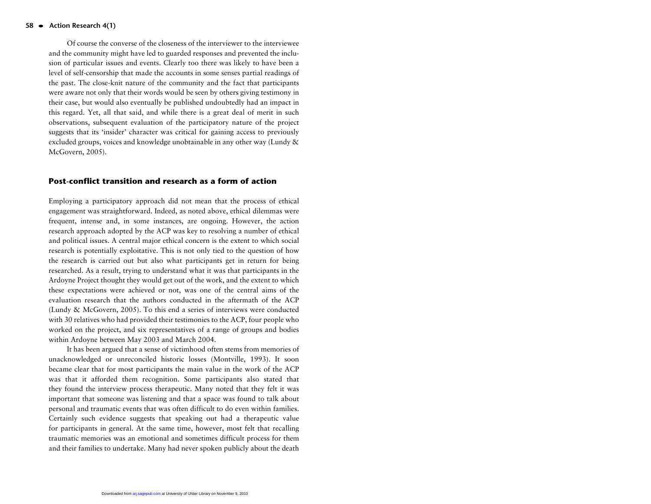Of course the converse of the closeness of the interviewer to the interviewee and the community might have led to guarded responses and prevented the inclusion of particular issues and events. Clearly too there was likely to have been a level of self-censorship that made the accounts in some senses partial readings of the past. The close-knit nature of the community and the fact that participants were aware not only that their words would be seen by others giving testimony in their case, but would also eventually be published undoubtedly had an impact in this regard. Yet, all that said, and while there is a great deal of merit in such observations, subsequent evaluation of the participatory nature of the project suggests that its 'insider' character was critical for gaining access to previously excluded groups, voices and knowledge unobtainable in any other way (Lundy & McGovern, 2005).

#### **Post-conflict transition and research as a form of action**

Employing a participatory approach did not mean that the process of ethical engagement was straightforward. Indeed, as noted above, ethical dilemmas were frequent, intense and, in some instances, are ongoing. However, the action research approach adopted by the ACP was key to resolving a number of ethical and political issues. A central major ethical concern is the extent to which social research is potentially exploitative. This is not only tied to the question of how the research is carried out but also what participants get in return for being researched. As a result, trying to understand what it was that participants in the Ardoyne Project thought they would get out of the work, and the extent to which these expectations were achieved or not, was one of the central aims of the evaluation research that the authors conducted in the aftermath of the ACP (Lundy & McGovern, 2005). To this end a series of interviews were conducted with 30 relatives who had provided their testimonies to the ACP, four people who worked on the project, and six representatives of a range of groups and bodies within Ardoyne between May 2003 and March 2004.

It has been argued that a sense of victimhood often stems from memories of unacknowledged or unreconciled historic losses (Montville, 1993). It soon became clear that for most participants the main value in the work of the ACP was that it afforded them recognition. Some participants also stated that they found the interview process therapeutic. Many noted that they felt it was important that someone was listening and that a space was found to talk about personal and traumatic events that was often difficult to do even within families. Certainly such evidence suggests that speaking out had a therapeutic value for participants in general. At the same time, however, most felt that recalling traumatic memories was an emotional and sometimes difficult process for them and their families to undertake. Many had never spoken publicly about the death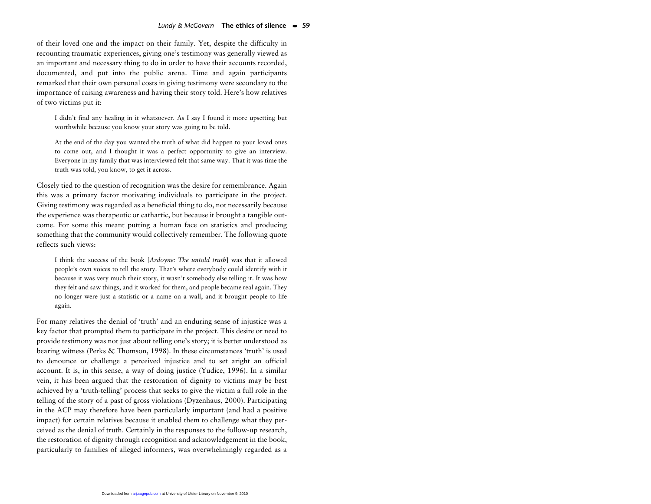of their loved one and the impact on their family. Yet, despite the difficulty in recounting traumatic experiences, giving one's testimony was generally viewed as an important and necessary thing to do in order to have their accounts recorded, documented, and put into the public arena. Time and again participants remarked that their own personal costs in giving testimony were secondary to the importance of raising awareness and having their story told. Here's how relatives of two victims put it:

I didn't find any healing in it whatsoever. As I say I found it more upsetting but worthwhile because you know your story was going to be told.

At the end of the day you wanted the truth of what did happen to your loved ones to come out, and I thought it was a perfect opportunity to give an interview. Everyone in my family that was interviewed felt that same way. That it was time the truth was told, you know, to get it across.

Closely tied to the question of recognition was the desire for remembrance. Again this was a primary factor motivating individuals to participate in the project. Giving testimony was regarded as a beneficial thing to do, not necessarily because the experience was therapeutic or cathartic, but because it brought a tangible outcome. For some this meant putting a human face on statistics and producing something that the community would collectively remember. The following quote reflects such views:

I think the success of the book [*Ardoyne: The untold truth*] was that it allowed people's own voices to tell the story. That's where everybody could identify with it because it was very much their story, it wasn't somebody else telling it. It was how they felt and saw things, and it worked for them, and people became real again. They no longer were just a statistic or a name on a wall, and it brought people to life again.

For many relatives the denial of 'truth' and an enduring sense of injustice was a key factor that prompted them to participate in the project. This desire or need to provide testimony was not just about telling one's story; it is better understood as bearing witness (Perks & Thomson, 1998). In these circumstances 'truth' is used to denounce or challenge a perceived injustice and to set aright an official account. It is, in this sense, a way of doing justice (Yudice, 1996). In a similar vein, it has been argued that the restoration of dignity to victims may be best achieved by a 'truth-telling' process that seeks to give the victim a full role in the telling of the story of a past of gross violations (Dyzenhaus, 2000). Participating in the ACP may therefore have been particularly important (and had a positive impact) for certain relatives because it enabled them to challenge what they perceived as the denial of truth. Certainly in the responses to the follow-up research, the restoration of dignity through recognition and acknowledgement in the book, particularly to families of alleged informers, was overwhelmingly regarded as a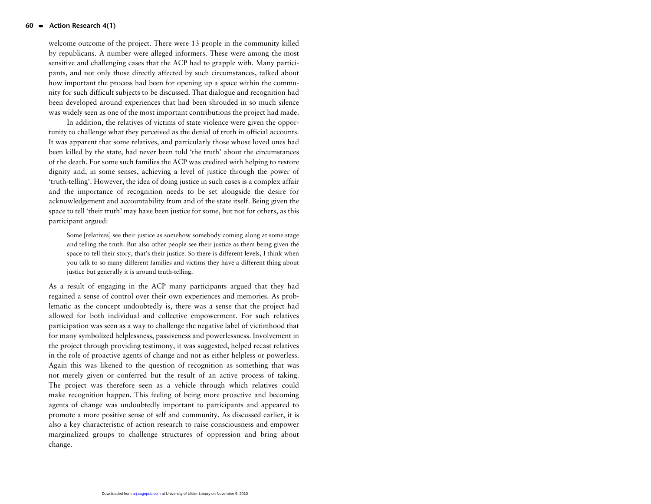welcome outcome of the project. There were 13 people in the community killed by republicans. A number were alleged informers. These were among the most sensitive and challenging cases that the ACP had to grapple with. Many participants, and not only those directly affected by such circumstances, talked about how important the process had been for opening up a space within the community for such difficult subjects to be discussed. That dialogue and recognition had been developed around experiences that had been shrouded in so much silence was widely seen as one of the most important contributions the project had made.

In addition, the relatives of victims of state violence were given the opportunity to challenge what they perceived as the denial of truth in official accounts. It was apparent that some relatives, and particularly those whose loved ones had been killed by the state, had never been told 'the truth' about the circumstances of the death. For some such families the ACP was credited with helping to restore dignity and, in some senses, achieving a level of justice through the power of 'truth-telling'. However, the idea of doing justice in such cases is a complex affair and the importance of recognition needs to be set alongside the desire for acknowledgement and accountability from and of the state itself. Being given the space to tell 'their truth' may have been justice for some, but not for others, as this participant argued:

Some [relatives] see their justice as somehow somebody coming along at some stage and telling the truth. But also other people see their justice as them being given the space to tell their story, that's their justice. So there is different levels, I think when you talk to so many different families and victims they have a different thing about justice but generally it is around truth-telling.

As a result of engaging in the ACP many participants argued that they had regained a sense of control over their own experiences and memories. As problematic as the concept undoubtedly is, there was a sense that the project had allowed for both individual and collective empowerment. For such relatives participation was seen as a way to challenge the negative label of victimhood that for many symbolized helplessness, passiveness and powerlessness. Involvement in the project through providing testimony, it was suggested, helped recast relatives in the role of proactive agents of change and not as either helpless or powerless. Again this was likened to the question of recognition as something that was not merely given or conferred but the result of an active process of taking. The project was therefore seen as a vehicle through which relatives could make recognition happen. This feeling of being more proactive and becoming agents of change was undoubtedly important to participants and appeared to promote a more positive sense of self and community. As discussed earlier, it is also a key characteristic of action research to raise consciousness and empower marginalized groups to challenge structures of oppression and bring about change.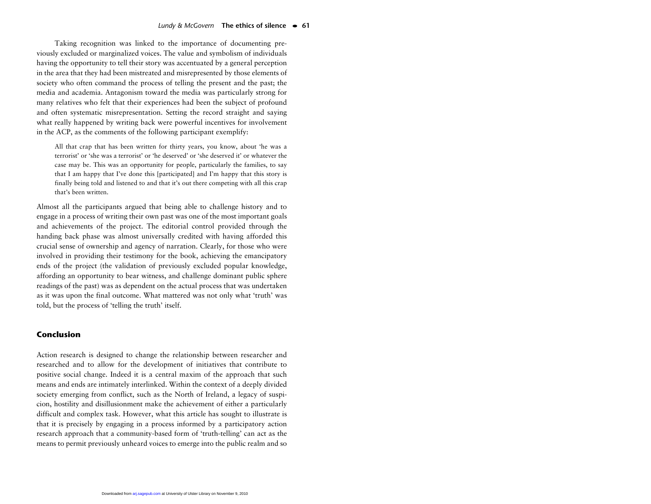Taking recognition was linked to the importance of documenting previously excluded or marginalized voices. The value and symbolism of individuals having the opportunity to tell their story was accentuated by a general perception in the area that they had been mistreated and misrepresented by those elements of society who often command the process of telling the present and the past; the media and academia. Antagonism toward the media was particularly strong for many relatives who felt that their experiences had been the subject of profound and often systematic misrepresentation. Setting the record straight and saying what really happened by writing back were powerful incentives for involvement in the ACP, as the comments of the following participant exemplify:

All that crap that has been written for thirty years, you know, about 'he was a terrorist' or 'she was a terrorist' or 'he deserved' or 'she deserved it' or whatever the case may be. This was an opportunity for people, particularly the families, to say that I am happy that I've done this [participated] and I'm happy that this story is finally being told and listened to and that it's out there competing with all this crap that's been written.

Almost all the participants argued that being able to challenge history and to engage in a process of writing their own past was one of the most important goals and achievements of the project. The editorial control provided through the handing back phase was almost universally credited with having afforded this crucial sense of ownership and agency of narration. Clearly, for those who were involved in providing their testimony for the book, achieving the emancipatory ends of the project (the validation of previously excluded popular knowledge, affording an opportunity to bear witness, and challenge dominant public sphere readings of the past) was as dependent on the actual process that was undertaken as it was upon the final outcome. What mattered was not only what 'truth' was told, but the process of 'telling the truth' itself.

### **Conclusion**

Action research is designed to change the relationship between researcher and researched and to allow for the development of initiatives that contribute to positive social change. Indeed it is a central maxim of the approach that such means and ends are intimately interlinked. Within the context of a deeply divided society emerging from conflict, such as the North of Ireland, a legacy of suspicion, hostility and disillusionment make the achievement of either a particularly difficult and complex task. However, what this article has sought to illustrate is that it is precisely by engaging in a process informed by a participatory action research approach that a community-based form of 'truth-telling' can act as the means to permit previously unheard voices to emerge into the public realm and so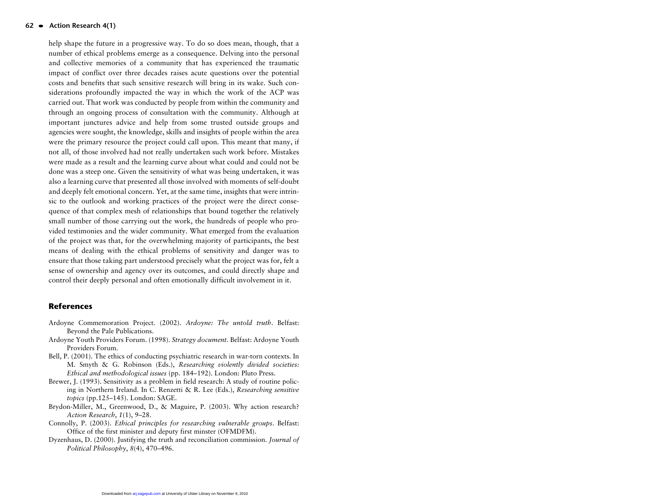help shape the future in a progressive way. To do so does mean, though, that a number of ethical problems emerge as a consequence. Delving into the personal and collective memories of a community that has experienced the traumatic impact of conflict over three decades raises acute questions over the potential costs and benefits that such sensitive research will bring in its wake. Such considerations profoundly impacted the way in which the work of the ACP was carried out. That work was conducted by people from within the community and through an ongoing process of consultation with the community. Although at important junctures advice and help from some trusted outside groups and agencies were sought, the knowledge, skills and insights of people within the area were the primary resource the project could call upon. This meant that many, if not all, of those involved had not really undertaken such work before. Mistakes were made as a result and the learning curve about what could and could not be done was a steep one. Given the sensitivity of what was being undertaken, it was also a learning curve that presented all those involved with moments of self-doubt and deeply felt emotional concern. Yet, at the same time, insights that were intrinsic to the outlook and working practices of the project were the direct consequence of that complex mesh of relationships that bound together the relatively small number of those carrying out the work, the hundreds of people who provided testimonies and the wider community. What emerged from the evaluation of the project was that, for the overwhelming majority of participants, the best means of dealing with the ethical problems of sensitivity and danger was to ensure that those taking part understood precisely what the project was for, felt a sense of ownership and agency over its outcomes, and could directly shape and control their deeply personal and often emotionally difficult involvement in it.

#### **References**

- Ardoyne Commemoration Project. (2002). *Ardoyne: The untold truth*. Belfast: Beyond the Pale Publications.
- Ardoyne Youth Providers Forum. (1998). *Strategy document*. Belfast: Ardoyne Youth Providers Forum.
- Bell, P. (2001). The ethics of conducting psychiatric research in war-torn contexts. In M. Smyth & G. Robinson (Eds.), *Researching violently divided societies: Ethical and methodological issues* (pp. 184–192). London: Pluto Press.
- Brewer, J. (1993). Sensitivity as a problem in field research: A study of routine policing in Northern Ireland. In C. Renzetti & R. Lee (Eds.), *Researching sensitive topics* (pp.125–145). London: SAGE.
- Brydon-Miller, M., Greenwood, D., & Maguire, P. (2003). Why action research? *Action Research*, *1*(1), 9–28.
- Connolly, P. (2003). *Ethical principles for researching vulnerable groups*. Belfast: Office of the first minister and deputy first minster (OFMDFM).
- Dyzenhaus, D. (2000). Justifying the truth and reconciliation commission. *Journal of Political Philosophy*, *8*(4), 470–496.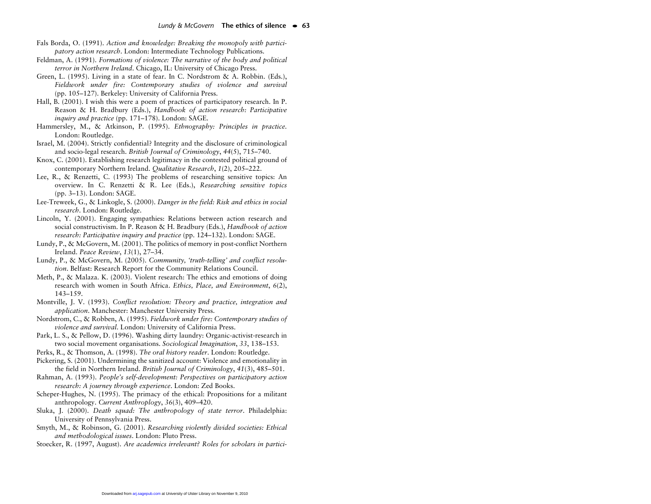- Fals Borda, O. (1991). *Action and knowledge: Breaking the monopoly with participatory action research*. London: Intermediate Technology Publications.
- Feldman, A. (1991). *Formations of violence: The narrative of the body and political terror in Northern Ireland*. Chicago, IL: University of Chicago Press.
- Green, L. (1995). Living in a state of fear. In C. Nordstrom & A. Robbin. (Eds.), *Fieldwork under fire: Contemporary studies of violence and survival*  (pp. 105–127). Berkeley: University of California Press.
- Hall, B. (2001). I wish this were a poem of practices of participatory research. In P. Reason & H. Bradbury (Eds.), *Handbook of action research: Participative inquiry and practice* (pp. 171–178). London: SAGE.
- Hammersley, M., & Atkinson, P. (1995). *Ethnography: Principles in practice.* London: Routledge.
- Israel, M. (2004). Strictly confidential? Integrity and the disclosure of criminological and socio-legal research. *British Journal of Criminology*, *44*(5), 715–740.
- Knox, C. (2001). Establishing research legitimacy in the contested political ground of contemporary Northern Ireland. *Qualitative Research*, *1*(2), 205–222.
- Lee, R., & Renzetti, C. (1993) The problems of researching sensitive topics: An overview. In C. Renzetti & R. Lee (Eds.), *Researching sensitive topics* (pp. 3–13). London: SAGE.
- Lee-Treweek, G., & Linkogle, S. (2000). *Danger in the field: Risk and ethics in social research*. London: Routledge.
- Lincoln, Y. (2001). Engaging sympathies: Relations between action research and social constructivism. In P. Reason & H. Bradbury (Eds.), *Handbook of action research: Participative inquiry and practice* (pp. 124–132). London: SAGE.
- Lundy, P., & McGovern, M. (2001). The politics of memory in post-conflict Northern Ireland. *Peace Review*, *13*(1), 27–34.
- Lundy, P., & McGovern, M. (2005). *Community, 'truth-telling' and conflict resolution*. Belfast: Research Report for the Community Relations Council.
- Meth, P., & Malaza. K. (2003). Violent research: The ethics and emotions of doing research with women in South Africa. *Ethics, Place, and Environment*, *6*(2), 143–159.
- Montville, J. V. (1993). *Conflict resolution: Theory and practice, integration and application*. Manchester: Manchester University Press.
- Nordstrom, C., & Robben, A. (1995). *Fieldwork under fire: Contemporary studies of violence and survival*. London: University of California Press.
- Park, L. S., & Pellow, D. (1996). Washing dirty laundry: Organic-activist-research in two social movement organisations. *Sociological Imagination*, *33*, 138–153.
- Perks, R., & Thomson, A. (1998). *The oral history reader*. London: Routledge.
- Pickering, S. (2001). Undermining the sanitized account: Violence and emotionality in the field in Northern Ireland. *British Journal of Criminology*, *41*(3), 485–501.
- Rahman, A. (1993). *People's self-development: Perspectives on participatory action research: A journey through experience*. London: Zed Books.
- Scheper-Hughes, N. (1995). The primacy of the ethical: Propositions for a militant anthropology. *Current Anthroplogy*, *36*(3), 409–420.
- Sluka, J. (2000). *Death squad: The anthropology of state terror*. Philadelphia: University of Pennsylvania Press.
- Smyth, M., & Robinson, G. (2001). *Researching violently divided societies: Ethical and methodological issues*. London: Pluto Press.
- Stoecker, R. (1997, August). *Are academics irrelevant? Roles for scholars in partici-*